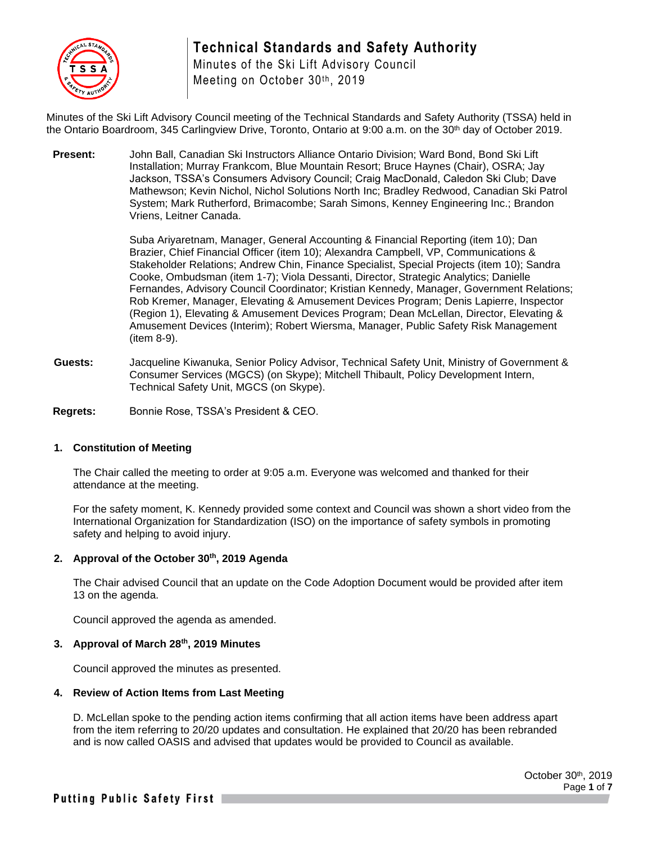

Minutes of the Ski Lift Advisory Council Meeting on October 30th, 2019

Minutes of the Ski Lift Advisory Council meeting of the Technical Standards and Safety Authority (TSSA) held in the Ontario Boardroom, 345 Carlingview Drive, Toronto, Ontario at 9:00 a.m. on the 30<sup>th</sup> day of October 2019.

**Present:** John Ball, Canadian Ski Instructors Alliance Ontario Division; Ward Bond, Bond Ski Lift Installation; Murray Frankcom, Blue Mountain Resort; Bruce Haynes (Chair), OSRA; Jay Jackson, TSSA's Consumers Advisory Council; Craig MacDonald, Caledon Ski Club; Dave Mathewson; Kevin Nichol, Nichol Solutions North Inc; Bradley Redwood, Canadian Ski Patrol System; Mark Rutherford, Brimacombe; Sarah Simons, Kenney Engineering Inc.; Brandon Vriens, Leitner Canada.

> Suba Ariyaretnam, Manager, General Accounting & Financial Reporting (item 10); Dan Brazier, Chief Financial Officer (item 10); Alexandra Campbell, VP, Communications & Stakeholder Relations; Andrew Chin, Finance Specialist, Special Projects (item 10); Sandra Cooke, Ombudsman (item 1-7); Viola Dessanti, Director, Strategic Analytics; Danielle Fernandes, Advisory Council Coordinator; Kristian Kennedy, Manager, Government Relations; Rob Kremer, Manager, Elevating & Amusement Devices Program; Denis Lapierre, Inspector (Region 1), Elevating & Amusement Devices Program; Dean McLellan, Director, Elevating & Amusement Devices (Interim); Robert Wiersma, Manager, Public Safety Risk Management (item 8-9).

**Guests:** Jacqueline Kiwanuka, Senior Policy Advisor, Technical Safety Unit, Ministry of Government & Consumer Services (MGCS) (on Skype); Mitchell Thibault, Policy Development Intern, Technical Safety Unit, MGCS (on Skype).

**Regrets:** Bonnie Rose, TSSA's President & CEO.

#### **1. Constitution of Meeting**

The Chair called the meeting to order at 9:05 a.m. Everyone was welcomed and thanked for their attendance at the meeting.

For the safety moment, K. Kennedy provided some context and Council was shown a short video from the International Organization for Standardization (ISO) on the importance of safety symbols in promoting safety and helping to avoid injury.

#### **2. Approval of the October 30th, 2019 Agenda**

The Chair advised Council that an update on the Code Adoption Document would be provided after item 13 on the agenda.

Council approved the agenda as amended.

#### **3. Approval of March 28th, 2019 Minutes**

Council approved the minutes as presented.

#### **4. Review of Action Items from Last Meeting**

D. McLellan spoke to the pending action items confirming that all action items have been address apart from the item referring to 20/20 updates and consultation. He explained that 20/20 has been rebranded and is now called OASIS and advised that updates would be provided to Council as available.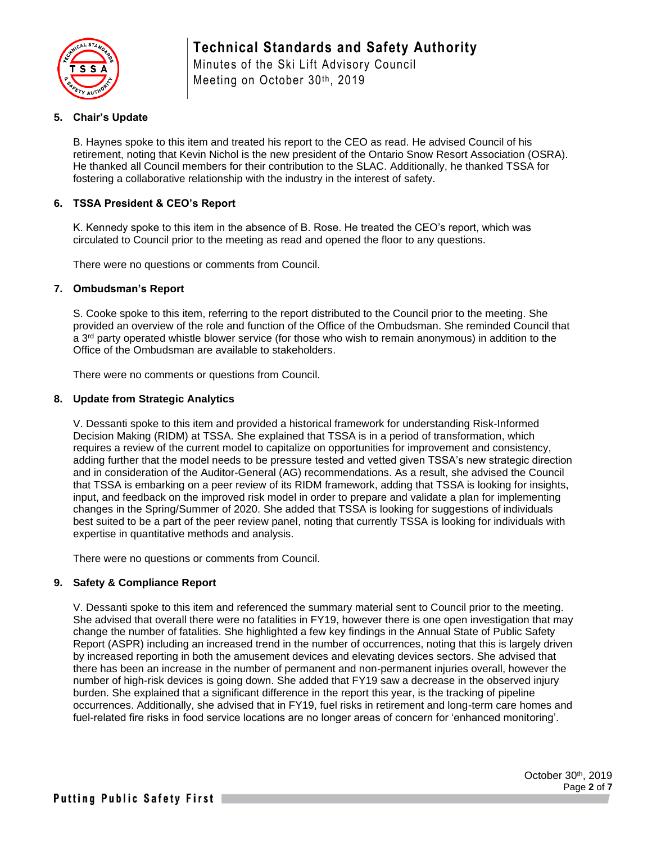

Minutes of the Ski Lift Advisory Council Meeting on October 30th, 2019

### **5. Chair's Update**

B. Haynes spoke to this item and treated his report to the CEO as read. He advised Council of his retirement, noting that Kevin Nichol is the new president of the Ontario Snow Resort Association (OSRA). He thanked all Council members for their contribution to the SLAC. Additionally, he thanked TSSA for fostering a collaborative relationship with the industry in the interest of safety.

### **6. TSSA President & CEO's Report**

K. Kennedy spoke to this item in the absence of B. Rose. He treated the CEO's report, which was circulated to Council prior to the meeting as read and opened the floor to any questions.

There were no questions or comments from Council.

#### **7. Ombudsman's Report**

S. Cooke spoke to this item, referring to the report distributed to the Council prior to the meeting. She provided an overview of the role and function of the Office of the Ombudsman. She reminded Council that a  $3<sup>rd</sup>$  party operated whistle blower service (for those who wish to remain anonymous) in addition to the Office of the Ombudsman are available to stakeholders.

There were no comments or questions from Council.

#### **8. Update from Strategic Analytics**

V. Dessanti spoke to this item and provided a historical framework for understanding Risk-Informed Decision Making (RIDM) at TSSA. She explained that TSSA is in a period of transformation, which requires a review of the current model to capitalize on opportunities for improvement and consistency, adding further that the model needs to be pressure tested and vetted given TSSA's new strategic direction and in consideration of the Auditor-General (AG) recommendations. As a result, she advised the Council that TSSA is embarking on a peer review of its RIDM framework, adding that TSSA is looking for insights, input, and feedback on the improved risk model in order to prepare and validate a plan for implementing changes in the Spring/Summer of 2020. She added that TSSA is looking for suggestions of individuals best suited to be a part of the peer review panel, noting that currently TSSA is looking for individuals with expertise in quantitative methods and analysis.

There were no questions or comments from Council.

#### **9. Safety & Compliance Report**

V. Dessanti spoke to this item and referenced the summary material sent to Council prior to the meeting. She advised that overall there were no fatalities in FY19, however there is one open investigation that may change the number of fatalities. She highlighted a few key findings in the Annual State of Public Safety Report (ASPR) including an increased trend in the number of occurrences, noting that this is largely driven by increased reporting in both the amusement devices and elevating devices sectors. She advised that there has been an increase in the number of permanent and non-permanent injuries overall, however the number of high-risk devices is going down. She added that FY19 saw a decrease in the observed injury burden. She explained that a significant difference in the report this year, is the tracking of pipeline occurrences. Additionally, she advised that in FY19, fuel risks in retirement and long-term care homes and fuel-related fire risks in food service locations are no longer areas of concern for 'enhanced monitoring'.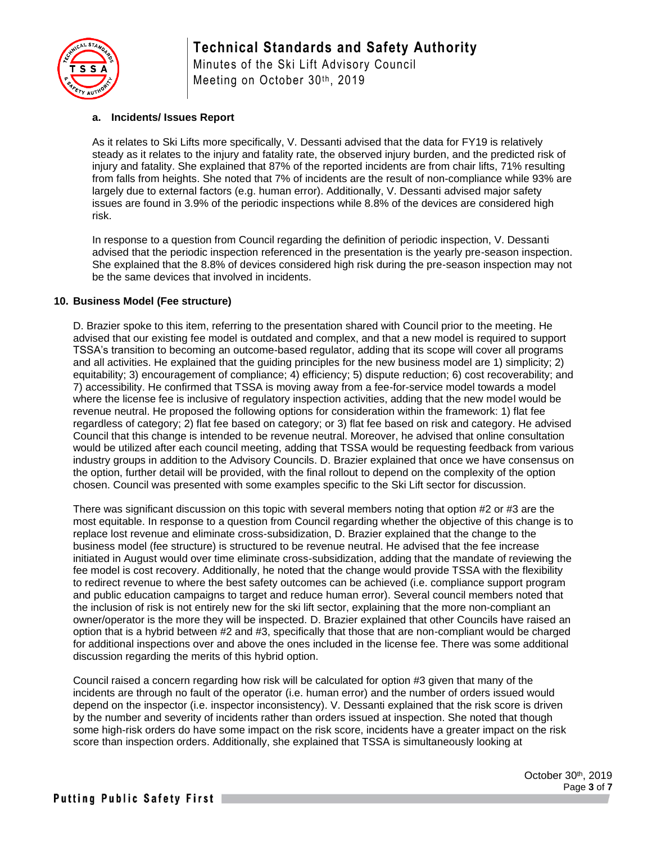

Minutes of the Ski Lift Advisory Council Meeting on October 30th, 2019

#### **a. Incidents/ Issues Report**

As it relates to Ski Lifts more specifically, V. Dessanti advised that the data for FY19 is relatively steady as it relates to the injury and fatality rate, the observed injury burden, and the predicted risk of injury and fatality. She explained that 87% of the reported incidents are from chair lifts, 71% resulting from falls from heights. She noted that 7% of incidents are the result of non-compliance while 93% are largely due to external factors (e.g. human error). Additionally, V. Dessanti advised major safety issues are found in 3.9% of the periodic inspections while 8.8% of the devices are considered high risk.

In response to a question from Council regarding the definition of periodic inspection, V. Dessanti advised that the periodic inspection referenced in the presentation is the yearly pre-season inspection. She explained that the 8.8% of devices considered high risk during the pre-season inspection may not be the same devices that involved in incidents.

#### **10. Business Model (Fee structure)**

D. Brazier spoke to this item, referring to the presentation shared with Council prior to the meeting. He advised that our existing fee model is outdated and complex, and that a new model is required to support TSSA's transition to becoming an outcome-based regulator, adding that its scope will cover all programs and all activities. He explained that the guiding principles for the new business model are 1) simplicity; 2) equitability; 3) encouragement of compliance; 4) efficiency; 5) dispute reduction; 6) cost recoverability; and 7) accessibility. He confirmed that TSSA is moving away from a fee-for-service model towards a model where the license fee is inclusive of regulatory inspection activities, adding that the new model would be revenue neutral. He proposed the following options for consideration within the framework: 1) flat fee regardless of category; 2) flat fee based on category; or 3) flat fee based on risk and category. He advised Council that this change is intended to be revenue neutral. Moreover, he advised that online consultation would be utilized after each council meeting, adding that TSSA would be requesting feedback from various industry groups in addition to the Advisory Councils. D. Brazier explained that once we have consensus on the option, further detail will be provided, with the final rollout to depend on the complexity of the option chosen. Council was presented with some examples specific to the Ski Lift sector for discussion.

There was significant discussion on this topic with several members noting that option #2 or #3 are the most equitable. In response to a question from Council regarding whether the objective of this change is to replace lost revenue and eliminate cross-subsidization, D. Brazier explained that the change to the business model (fee structure) is structured to be revenue neutral. He advised that the fee increase initiated in August would over time eliminate cross-subsidization, adding that the mandate of reviewing the fee model is cost recovery. Additionally, he noted that the change would provide TSSA with the flexibility to redirect revenue to where the best safety outcomes can be achieved (i.e. compliance support program and public education campaigns to target and reduce human error). Several council members noted that the inclusion of risk is not entirely new for the ski lift sector, explaining that the more non-compliant an owner/operator is the more they will be inspected. D. Brazier explained that other Councils have raised an option that is a hybrid between #2 and #3, specifically that those that are non-compliant would be charged for additional inspections over and above the ones included in the license fee. There was some additional discussion regarding the merits of this hybrid option.

Council raised a concern regarding how risk will be calculated for option #3 given that many of the incidents are through no fault of the operator (i.e. human error) and the number of orders issued would depend on the inspector (i.e. inspector inconsistency). V. Dessanti explained that the risk score is driven by the number and severity of incidents rather than orders issued at inspection. She noted that though some high-risk orders do have some impact on the risk score, incidents have a greater impact on the risk score than inspection orders. Additionally, she explained that TSSA is simultaneously looking at

> October 30th, 2019 Page **3** of **7**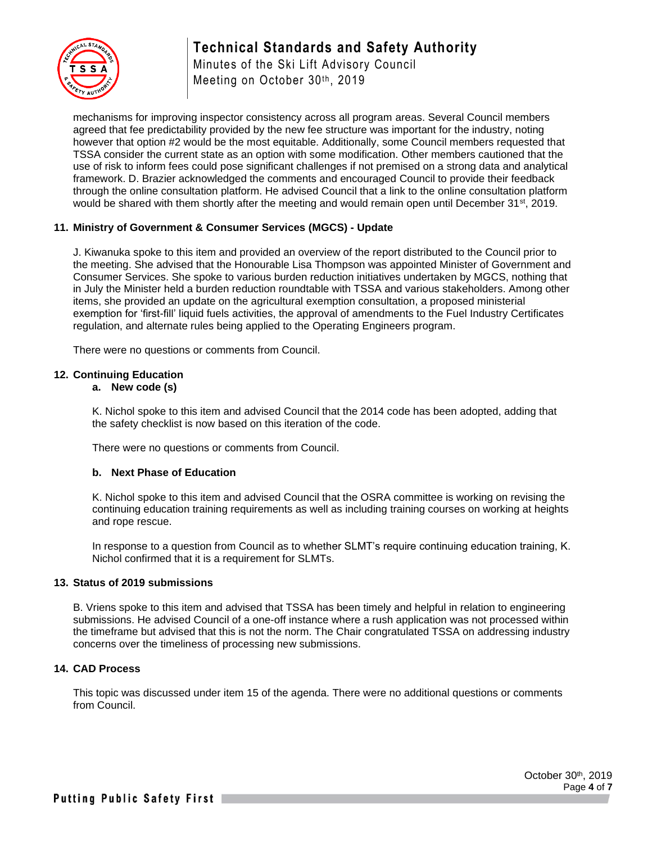

Minutes of the Ski Lift Advisory Council Meeting on October 30th, 2019

mechanisms for improving inspector consistency across all program areas. Several Council members agreed that fee predictability provided by the new fee structure was important for the industry, noting however that option #2 would be the most equitable. Additionally, some Council members requested that TSSA consider the current state as an option with some modification. Other members cautioned that the use of risk to inform fees could pose significant challenges if not premised on a strong data and analytical framework. D. Brazier acknowledged the comments and encouraged Council to provide their feedback through the online consultation platform. He advised Council that a link to the online consultation platform would be shared with them shortly after the meeting and would remain open until December 31<sup>st</sup>, 2019.

#### **11. Ministry of Government & Consumer Services (MGCS) - Update**

J. Kiwanuka spoke to this item and provided an overview of the report distributed to the Council prior to the meeting. She advised that the Honourable Lisa Thompson was appointed Minister of Government and Consumer Services. She spoke to various burden reduction initiatives undertaken by MGCS, nothing that in July the Minister held a burden reduction roundtable with TSSA and various stakeholders. Among other items, she provided an update on the agricultural exemption consultation, a proposed ministerial exemption for 'first-fill' liquid fuels activities, the approval of amendments to the Fuel Industry Certificates regulation, and alternate rules being applied to the Operating Engineers program.

There were no questions or comments from Council.

#### **12. Continuing Education**

#### **a. New code (s)**

K. Nichol spoke to this item and advised Council that the 2014 code has been adopted, adding that the safety checklist is now based on this iteration of the code.

There were no questions or comments from Council.

#### **b. Next Phase of Education**

K. Nichol spoke to this item and advised Council that the OSRA committee is working on revising the continuing education training requirements as well as including training courses on working at heights and rope rescue.

In response to a question from Council as to whether SLMT's require continuing education training, K. Nichol confirmed that it is a requirement for SLMTs.

#### **13. Status of 2019 submissions**

B. Vriens spoke to this item and advised that TSSA has been timely and helpful in relation to engineering submissions. He advised Council of a one-off instance where a rush application was not processed within the timeframe but advised that this is not the norm. The Chair congratulated TSSA on addressing industry concerns over the timeliness of processing new submissions.

#### **14. CAD Process**

This topic was discussed under item 15 of the agenda. There were no additional questions or comments from Council.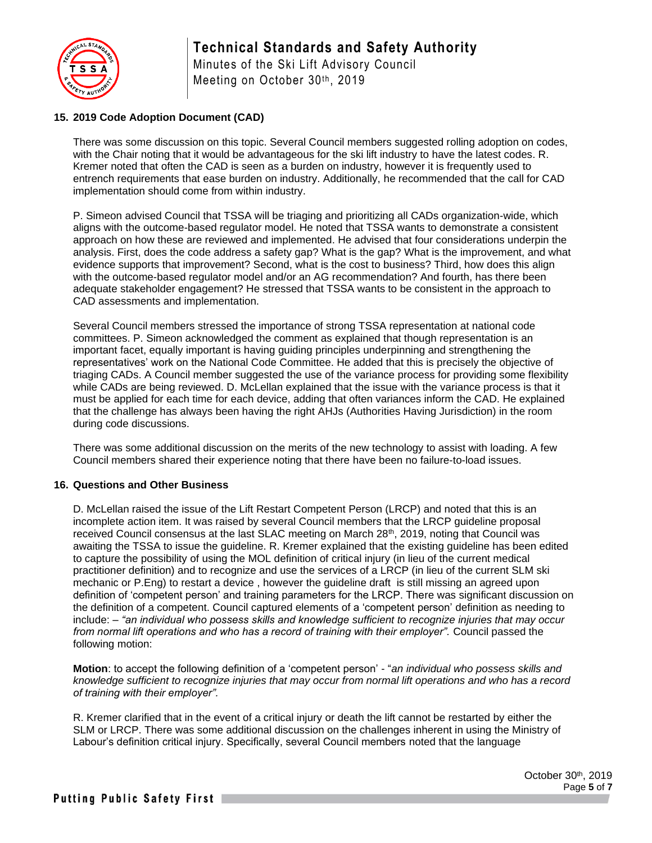

Minutes of the Ski Lift Advisory Council Meeting on October 30th, 2019

## **15. 2019 Code Adoption Document (CAD)**

There was some discussion on this topic. Several Council members suggested rolling adoption on codes, with the Chair noting that it would be advantageous for the ski lift industry to have the latest codes. R. Kremer noted that often the CAD is seen as a burden on industry, however it is frequently used to entrench requirements that ease burden on industry. Additionally, he recommended that the call for CAD implementation should come from within industry.

P. Simeon advised Council that TSSA will be triaging and prioritizing all CADs organization-wide, which aligns with the outcome-based regulator model. He noted that TSSA wants to demonstrate a consistent approach on how these are reviewed and implemented. He advised that four considerations underpin the analysis. First, does the code address a safety gap? What is the gap? What is the improvement, and what evidence supports that improvement? Second, what is the cost to business? Third, how does this align with the outcome-based regulator model and/or an AG recommendation? And fourth, has there been adequate stakeholder engagement? He stressed that TSSA wants to be consistent in the approach to CAD assessments and implementation.

Several Council members stressed the importance of strong TSSA representation at national code committees. P. Simeon acknowledged the comment as explained that though representation is an important facet, equally important is having guiding principles underpinning and strengthening the representatives' work on the National Code Committee. He added that this is precisely the objective of triaging CADs. A Council member suggested the use of the variance process for providing some flexibility while CADs are being reviewed. D. McLellan explained that the issue with the variance process is that it must be applied for each time for each device, adding that often variances inform the CAD. He explained that the challenge has always been having the right AHJs (Authorities Having Jurisdiction) in the room during code discussions.

There was some additional discussion on the merits of the new technology to assist with loading. A few Council members shared their experience noting that there have been no failure-to-load issues.

#### **16. Questions and Other Business**

D. McLellan raised the issue of the Lift Restart Competent Person (LRCP) and noted that this is an incomplete action item. It was raised by several Council members that the LRCP guideline proposal received Council consensus at the last SLAC meeting on March 28th, 2019, noting that Council was awaiting the TSSA to issue the guideline. R. Kremer explained that the existing guideline has been edited to capture the possibility of using the MOL definition of critical injury (in lieu of the current medical practitioner definition) and to recognize and use the services of a LRCP (in lieu of the current SLM ski mechanic or P.Eng) to restart a device , however the guideline draft is still missing an agreed upon definition of 'competent person' and training parameters for the LRCP. There was significant discussion on the definition of a competent. Council captured elements of a 'competent person' definition as needing to include: – *"an individual who possess skills and knowledge sufficient to recognize injuries that may occur from normal lift operations and who has a record of training with their employer".* Council passed the following motion:

**Motion**: to accept the following definition of a 'competent person' - "*an individual who possess skills and knowledge sufficient to recognize injuries that may occur from normal lift operations and who has a record of training with their employer".*

R. Kremer clarified that in the event of a critical injury or death the lift cannot be restarted by either the SLM or LRCP. There was some additional discussion on the challenges inherent in using the Ministry of Labour's definition critical injury. Specifically, several Council members noted that the language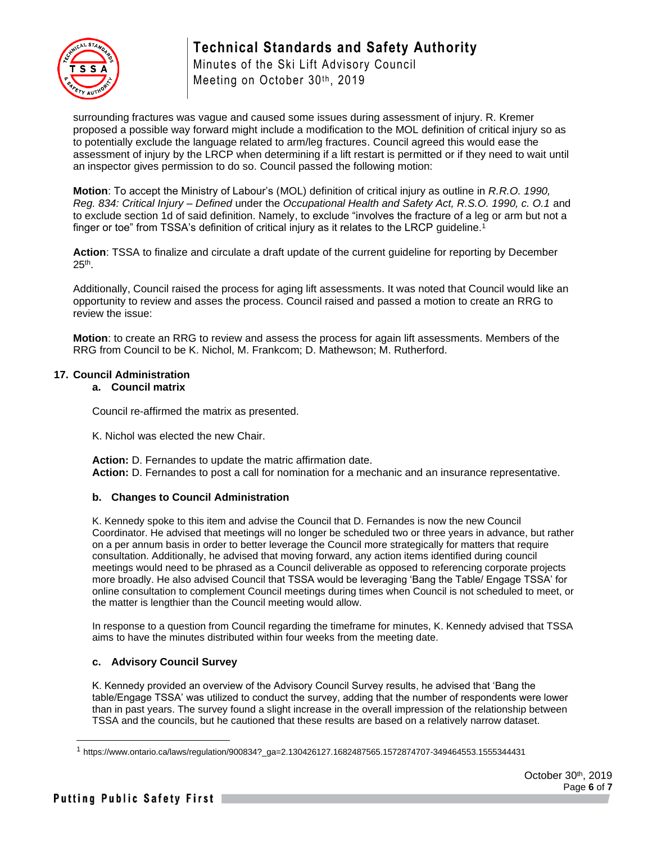

Minutes of the Ski Lift Advisory Council Meeting on October 30th, 2019

surrounding fractures was vague and caused some issues during assessment of injury. R. Kremer proposed a possible way forward might include a modification to the MOL definition of critical injury so as to potentially exclude the language related to arm/leg fractures. Council agreed this would ease the assessment of injury by the LRCP when determining if a lift restart is permitted or if they need to wait until an inspector gives permission to do so. Council passed the following motion:

**Motion**: To accept the Ministry of Labour's (MOL) definition of critical injury as outline in *R.R.O. 1990, Reg. 834: Critical Injury – Defined* under the *Occupational Health and Safety Act, R.S.O. 1990, c. O.1* and to exclude section 1d of said definition. Namely, to exclude "involves the fracture of a leg or arm but not a finger or toe" from TSSA's definition of critical injury as it relates to the LRCP quideline.<sup>1</sup>

**Action**: TSSA to finalize and circulate a draft update of the current guideline for reporting by December  $25<sup>th</sup>$ .

Additionally, Council raised the process for aging lift assessments. It was noted that Council would like an opportunity to review and asses the process. Council raised and passed a motion to create an RRG to review the issue:

**Motion**: to create an RRG to review and assess the process for again lift assessments. Members of the RRG from Council to be K. Nichol, M. Frankcom; D. Mathewson; M. Rutherford.

#### **17. Council Administration**

#### **a. Council matrix**

Council re-affirmed the matrix as presented.

K. Nichol was elected the new Chair.

**Action:** D. Fernandes to update the matric affirmation date. **Action:** D. Fernandes to post a call for nomination for a mechanic and an insurance representative.

#### **b. Changes to Council Administration**

K. Kennedy spoke to this item and advise the Council that D. Fernandes is now the new Council Coordinator. He advised that meetings will no longer be scheduled two or three years in advance, but rather on a per annum basis in order to better leverage the Council more strategically for matters that require consultation. Additionally, he advised that moving forward, any action items identified during council meetings would need to be phrased as a Council deliverable as opposed to referencing corporate projects more broadly. He also advised Council that TSSA would be leveraging 'Bang the Table/ Engage TSSA' for online consultation to complement Council meetings during times when Council is not scheduled to meet, or the matter is lengthier than the Council meeting would allow.

In response to a question from Council regarding the timeframe for minutes, K. Kennedy advised that TSSA aims to have the minutes distributed within four weeks from the meeting date.

#### **c. Advisory Council Survey**

K. Kennedy provided an overview of the Advisory Council Survey results, he advised that 'Bang the table/Engage TSSA' was utilized to conduct the survey, adding that the number of respondents were lower than in past years. The survey found a slight increase in the overall impression of the relationship between TSSA and the councils, but he cautioned that these results are based on a relatively narrow dataset.

<sup>1</sup> https://www.ontario.ca/laws/regulation/900834?\_ga=2.130426127.1682487565.1572874707-349464553.1555344431